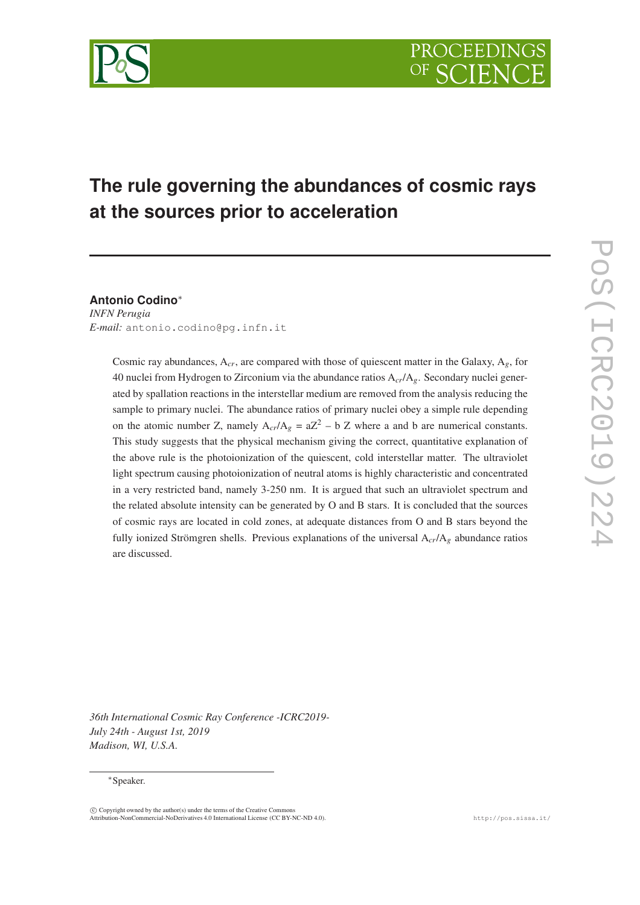# **The rule governing the abundances of cosmic rays at the sources prior to acceleration**

**Antonio Codino**<sup>∗</sup> *INFN Perugia E-mail:* antonio.codino@pg.infn.it

> Cosmic ray abundances,  $A_{cr}$ , are compared with those of quiescent matter in the Galaxy,  $A_g$ , for 40 nuclei from Hydrogen to Zirconium via the abundance ratios A*cr*/A*g*. Secondary nuclei generated by spallation reactions in the interstellar medium are removed from the analysis reducing the sample to primary nuclei. The abundance ratios of primary nuclei obey a simple rule depending on the atomic number Z, namely  $A_{cr}/A_g = aZ^2 - b Z$  where a and b are numerical constants. This study suggests that the physical mechanism giving the correct, quantitative explanation of the above rule is the photoionization of the quiescent, cold interstellar matter. The ultraviolet light spectrum causing photoionization of neutral atoms is highly characteristic and concentrated in a very restricted band, namely 3-250 nm. It is argued that such an ultraviolet spectrum and the related absolute intensity can be generated by O and B stars. It is concluded that the sources of cosmic rays are located in cold zones, at adequate distances from O and B stars beyond the fully ionized Strömgren shells. Previous explanations of the universal A*cr*/A*<sup>g</sup>* abundance ratios are discussed.

*36th International Cosmic Ray Conference -ICRC2019- July 24th - August 1st, 2019 Madison, WI, U.S.A.*

#### <sup>∗</sup>Speaker.

c Copyright owned by the author(s) under the terms of the Creative Commons Attribution-NonCommercial-NoDerivatives 4.0 International License (CC BY-NC-ND 4.0). http://pos.sissa.it/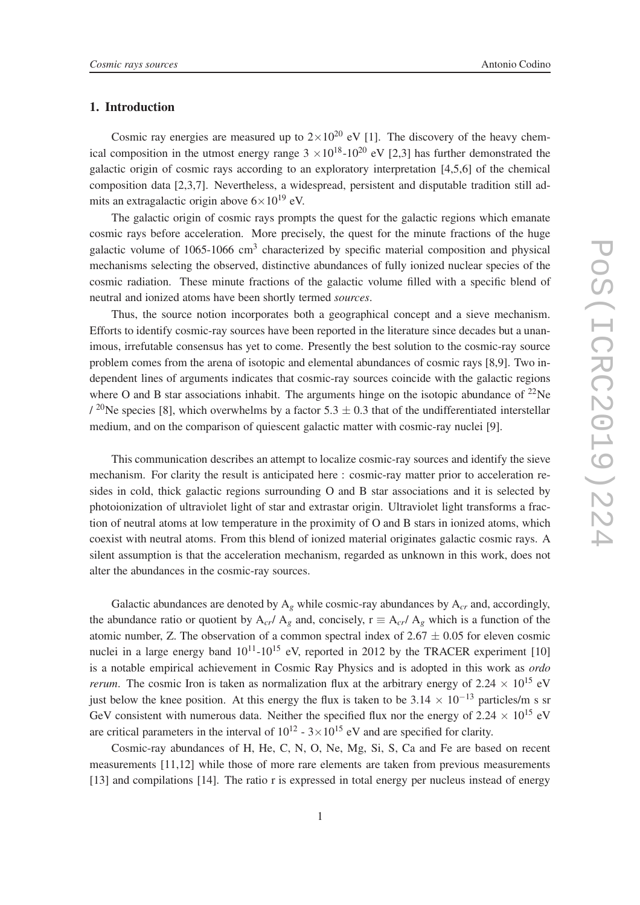# 1. Introduction

Cosmic ray energies are measured up to  $2 \times 10^{20}$  eV [1]. The discovery of the heavy chemical composition in the utmost energy range  $3 \times 10^{18}$ -10<sup>20</sup> eV [2,3] has further demonstrated the galactic origin of cosmic rays according to an exploratory interpretation [4,5,6] of the chemical composition data [2,3,7]. Nevertheless, a widespread, persistent and disputable tradition still admits an extragalactic origin above  $6 \times 10^{19}$  eV.

The galactic origin of cosmic rays prompts the quest for the galactic regions which emanate cosmic rays before acceleration. More precisely, the quest for the minute fractions of the huge galactic volume of 1065-1066 cm<sup>3</sup> characterized by specific material composition and physical mechanisms selecting the observed, distinctive abundances of fully ionized nuclear species of the cosmic radiation. These minute fractions of the galactic volume filled with a specific blend of neutral and ionized atoms have been shortly termed *sources*.

Thus, the source notion incorporates both a geographical concept and a sieve mechanism. Efforts to identify cosmic-ray sources have been reported in the literature since decades but a unanimous, irrefutable consensus has yet to come. Presently the best solution to the cosmic-ray source problem comes from the arena of isotopic and elemental abundances of cosmic rays [8,9]. Two independent lines of arguments indicates that cosmic-ray sources coincide with the galactic regions where O and B star associations inhabit. The arguments hinge on the isotopic abundance of  $^{22}$ Ne  $\frac{1}{20}$ Ne species [8], which overwhelms by a factor 5.3  $\pm$  0.3 that of the undifferentiated interstellar medium, and on the comparison of quiescent galactic matter with cosmic-ray nuclei [9].

This communication describes an attempt to localize cosmic-ray sources and identify the sieve mechanism. For clarity the result is anticipated here : cosmic-ray matter prior to acceleration resides in cold, thick galactic regions surrounding O and B star associations and it is selected by photoionization of ultraviolet light of star and extrastar origin. Ultraviolet light transforms a fraction of neutral atoms at low temperature in the proximity of O and B stars in ionized atoms, which coexist with neutral atoms. From this blend of ionized material originates galactic cosmic rays. A silent assumption is that the acceleration mechanism, regarded as unknown in this work, does not alter the abundances in the cosmic-ray sources.

Galactic abundances are denoted by  $A_g$  while cosmic-ray abundances by  $A_{cr}$  and, accordingly, the abundance ratio or quotient by  $A_{cr}/A_g$  and, concisely,  $r = A_{cr}/A_g$  which is a function of the atomic number, Z. The observation of a common spectral index of  $2.67 \pm 0.05$  for eleven cosmic nuclei in a large energy band  $10^{11}$ - $10^{15}$  eV, reported in 2012 by the TRACER experiment [10] is a notable empirical achievement in Cosmic Ray Physics and is adopted in this work as *ordo rerum*. The cosmic Iron is taken as normalization flux at the arbitrary energy of 2.24  $\times$  10<sup>15</sup> eV just below the knee position. At this energy the flux is taken to be  $3.14 \times 10^{-13}$  particles/m s sr GeV consistent with numerous data. Neither the specified flux nor the energy of 2.24  $\times$  10<sup>15</sup> eV are critical parameters in the interval of  $10^{12}$  -  $3 \times 10^{15}$  eV and are specified for clarity.

Cosmic-ray abundances of H, He, C, N, O, Ne, Mg, Si, S, Ca and Fe are based on recent measurements [11,12] while those of more rare elements are taken from previous measurements [13] and compilations [14]. The ratio r is expressed in total energy per nucleus instead of energy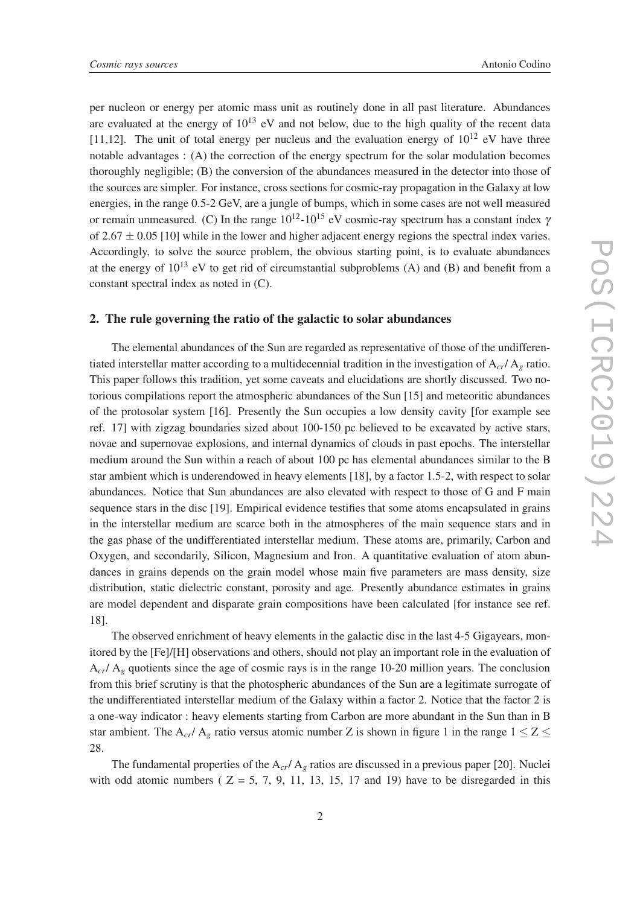per nucleon or energy per atomic mass unit as routinely done in all past literature. Abundances are evaluated at the energy of  $10^{13}$  eV and not below, due to the high quality of the recent data [11,12]. The unit of total energy per nucleus and the evaluation energy of  $10^{12}$  eV have three notable advantages : (A) the correction of the energy spectrum for the solar modulation becomes thoroughly negligible; (B) the conversion of the abundances measured in the detector into those of the sources are simpler. For instance, cross sections for cosmic-ray propagation in the Galaxy at low energies, in the range 0.5-2 GeV, are a jungle of bumps, which in some cases are not well measured or remain unmeasured. (C) In the range  $10^{12}$ - $10^{15}$  eV cosmic-ray spectrum has a constant index  $\gamma$ of  $2.67 \pm 0.05$  [10] while in the lower and higher adjacent energy regions the spectral index varies. Accordingly, to solve the source problem, the obvious starting point, is to evaluate abundances at the energy of  $10^{13}$  eV to get rid of circumstantial subproblems (A) and (B) and benefit from a constant spectral index as noted in (C).

### 2. The rule governing the ratio of the galactic to solar abundances

The elemental abundances of the Sun are regarded as representative of those of the undifferentiated interstellar matter according to a multidecennial tradition in the investigation of  $A_{cr}/A_g$  ratio. This paper follows this tradition, yet some caveats and elucidations are shortly discussed. Two notorious compilations report the atmospheric abundances of the Sun [15] and meteoritic abundances of the protosolar system [16]. Presently the Sun occupies a low density cavity [for example see ref. 17] with zigzag boundaries sized about 100-150 pc believed to be excavated by active stars, novae and supernovae explosions, and internal dynamics of clouds in past epochs. The interstellar medium around the Sun within a reach of about 100 pc has elemental abundances similar to the B star ambient which is underendowed in heavy elements [18], by a factor 1.5-2, with respect to solar abundances. Notice that Sun abundances are also elevated with respect to those of G and F main sequence stars in the disc [19]. Empirical evidence testifies that some atoms encapsulated in grains in the interstellar medium are scarce both in the atmospheres of the main sequence stars and in the gas phase of the undifferentiated interstellar medium. These atoms are, primarily, Carbon and Oxygen, and secondarily, Silicon, Magnesium and Iron. A quantitative evaluation of atom abundances in grains depends on the grain model whose main five parameters are mass density, size distribution, static dielectric constant, porosity and age. Presently abundance estimates in grains are model dependent and disparate grain compositions have been calculated [for instance see ref. 18].

The observed enrichment of heavy elements in the galactic disc in the last 4-5 Gigayears, monitored by the [Fe]/[H] observations and others, should not play an important role in the evaluation of  $A_{cr}/A_g$  quotients since the age of cosmic rays is in the range 10-20 million years. The conclusion from this brief scrutiny is that the photospheric abundances of the Sun are a legitimate surrogate of the undifferentiated interstellar medium of the Galaxy within a factor 2. Notice that the factor 2 is a one-way indicator : heavy elements starting from Carbon are more abundant in the Sun than in B star ambient. The A<sub>cr</sub>/ A<sub>g</sub> ratio versus atomic number Z is shown in figure 1 in the range  $1 \le Z \le$ 28.

The fundamental properties of the  $A_{cr}/A_g$  ratios are discussed in a previous paper [20]. Nuclei with odd atomic numbers ( $Z = 5, 7, 9, 11, 13, 15, 17$  and 19) have to be disregarded in this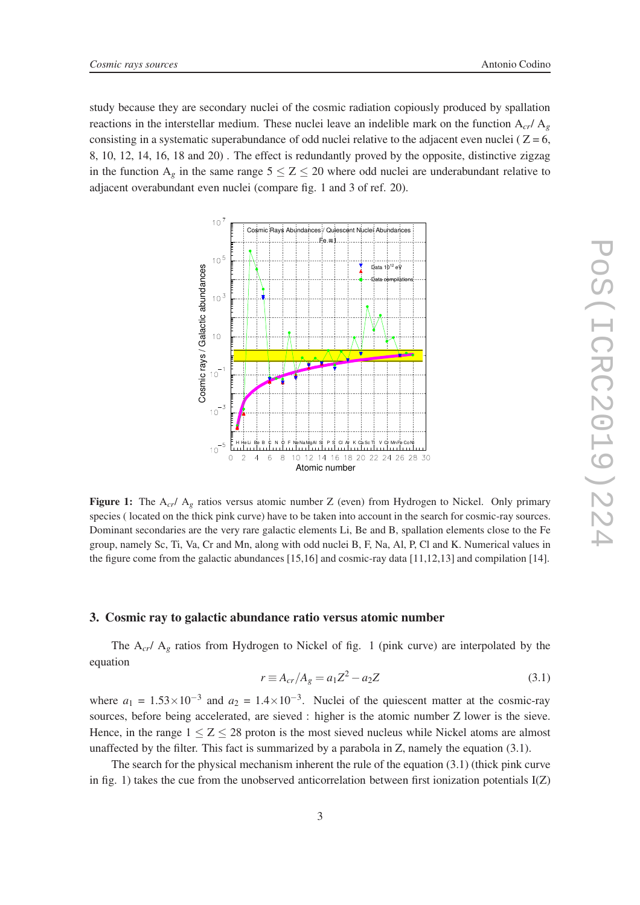study because they are secondary nuclei of the cosmic radiation copiously produced by spallation reactions in the interstellar medium. These nuclei leave an indelible mark on the function  $A_{cr}/A_g$ consisting in a systematic superabundance of odd nuclei relative to the adjacent even nuclei ( $Z = 6$ , 8, 10, 12, 14, 16, 18 and 20) . The effect is redundantly proved by the opposite, distinctive zigzag in the function  $A_g$  in the same range  $5 \le Z \le 20$  where odd nuclei are underabundant relative to adjacent overabundant even nuclei (compare fig. 1 and 3 of ref. 20).



Figure 1: The A<sub>cr</sub>/ A<sub>g</sub> ratios versus atomic number Z (even) from Hydrogen to Nickel. Only primary species ( located on the thick pink curve) have to be taken into account in the search for cosmic-ray sources. Dominant secondaries are the very rare galactic elements Li, Be and B, spallation elements close to the Fe group, namely Sc, Ti, Va, Cr and Mn, along with odd nuclei B, F, Na, Al, P, Cl and K. Numerical values in the figure come from the galactic abundances  $[15,16]$  and cosmic-ray data  $[11,12,13]$  and compilation  $[14]$ .

#### 3. Cosmic ray to galactic abundance ratio versus atomic number

The A<sub>cr</sub>/ A<sub>g</sub> ratios from Hydrogen to Nickel of fig. 1 (pink curve) are interpolated by the equation

$$
r \equiv A_{cr}/A_g = a_1 Z^2 - a_2 Z \tag{3.1}
$$

where  $a_1 = 1.53 \times 10^{-3}$  and  $a_2 = 1.4 \times 10^{-3}$ . Nuclei of the quiescent matter at the cosmic-ray sources, before being accelerated, are sieved : higher is the atomic number Z lower is the sieve. Hence, in the range  $1 \le Z \le 28$  proton is the most sieved nucleus while Nickel atoms are almost unaffected by the filter. This fact is summarized by a parabola in Z, namely the equation (3.1).

The search for the physical mechanism inherent the rule of the equation (3.1) (thick pink curve in fig. 1) takes the cue from the unobserved anticorrelation between first ionization potentials  $I(Z)$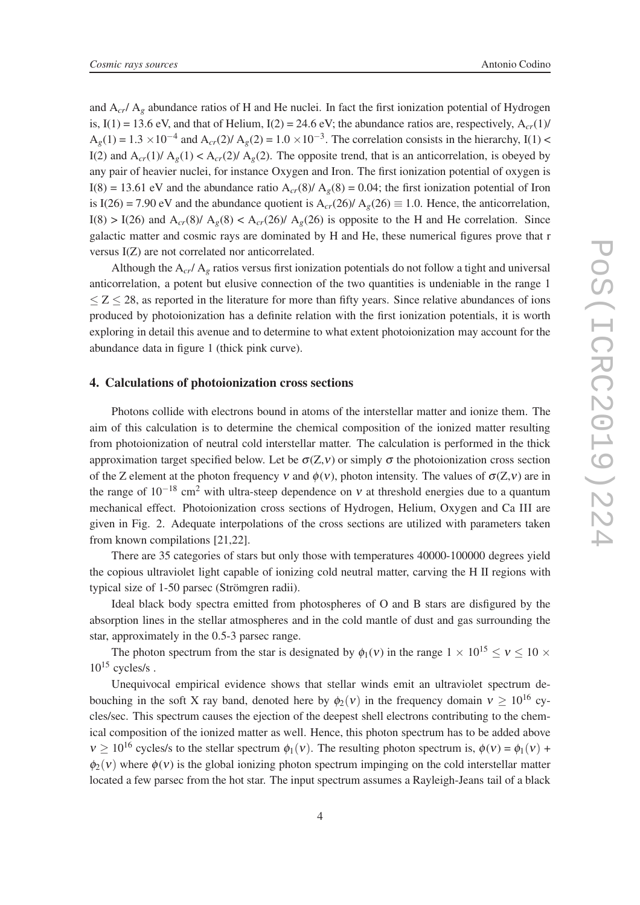and  $A_{cr}/A_g$  abundance ratios of H and He nuclei. In fact the first ionization potential of Hydrogen is,  $I(1) = 13.6$  eV, and that of Helium,  $I(2) = 24.6$  eV; the abundance ratios are, respectively,  $A_{cr}(1)$ /  $A_g(1) = 1.3 \times 10^{-4}$  and  $A_{cr}(2)/A_g(2) = 1.0 \times 10^{-3}$ . The correlation consists in the hierarchy, I(1) < I(2) and  $A_{cr}(1)/A_g(1) < A_{cr}(2)/A_g(2)$ . The opposite trend, that is an anticorrelation, is obeyed by any pair of heavier nuclei, for instance Oxygen and Iron. The first ionization potential of oxygen is I(8) = 13.61 eV and the abundance ratio  $A_{cr}(8)/ A_g(8) = 0.04$ ; the first ionization potential of Iron is I(26) = 7.90 eV and the abundance quotient is  $A_{cr}(26)/ A_g(26) \equiv 1.0$ . Hence, the anticorrelation, I(8) > I(26) and  $A_{cr}(8)/ A_g(8) < A_{cr}(26)/ A_g(26)$  is opposite to the H and He correlation. Since galactic matter and cosmic rays are dominated by H and He, these numerical figures prove that r versus I(Z) are not correlated nor anticorrelated.

Although the  $A_{cr}/A_g$  ratios versus first ionization potentials do not follow a tight and universal anticorrelation, a potent but elusive connection of the two quantities is undeniable in the range 1  $\leq$  Z  $\leq$  28, as reported in the literature for more than fifty years. Since relative abundances of ions produced by photoionization has a definite relation with the first ionization potentials, it is worth exploring in detail this avenue and to determine to what extent photoionization may account for the abundance data in figure 1 (thick pink curve).

## 4. Calculations of photoionization cross sections

Photons collide with electrons bound in atoms of the interstellar matter and ionize them. The aim of this calculation is to determine the chemical composition of the ionized matter resulting from photoionization of neutral cold interstellar matter. The calculation is performed in the thick approximation target specified below. Let be  $\sigma(Z, v)$  or simply  $\sigma$  the photoionization cross section of the Z element at the photon frequency v and  $\phi(v)$ , photon intensity. The values of  $\sigma(Z, v)$  are in the range of  $10^{-18}$  cm<sup>2</sup> with ultra-steep dependence on v at threshold energies due to a quantum mechanical effect. Photoionization cross sections of Hydrogen, Helium, Oxygen and Ca III are given in Fig. 2. Adequate interpolations of the cross sections are utilized with parameters taken from known compilations [21,22].

There are 35 categories of stars but only those with temperatures 40000-100000 degrees yield the copious ultraviolet light capable of ionizing cold neutral matter, carving the H II regions with typical size of 1-50 parsec (Strömgren radii).

Ideal black body spectra emitted from photospheres of O and B stars are disfigured by the absorption lines in the stellar atmospheres and in the cold mantle of dust and gas surrounding the star, approximately in the 0.5-3 parsec range.

The photon spectrum from the star is designated by  $\phi_1(v)$  in the range  $1 \times 10^{15} \le v \le 10 \times$  $10^{15}$  cycles/s.

Unequivocal empirical evidence shows that stellar winds emit an ultraviolet spectrum debouching in the soft X ray band, denoted here by  $\phi_2(v)$  in the frequency domain  $v \ge 10^{16}$  cycles/sec. This spectrum causes the ejection of the deepest shell electrons contributing to the chemical composition of the ionized matter as well. Hence, this photon spectrum has to be added above  $v > 10^{16}$  cycles/s to the stellar spectrum  $\phi_1(v)$ . The resulting photon spectrum is,  $\phi(v) = \phi_1(v)$  +  $\phi_2(v)$  where  $\phi(v)$  is the global ionizing photon spectrum impinging on the cold interstellar matter located a few parsec from the hot star. The input spectrum assumes a Rayleigh-Jeans tail of a black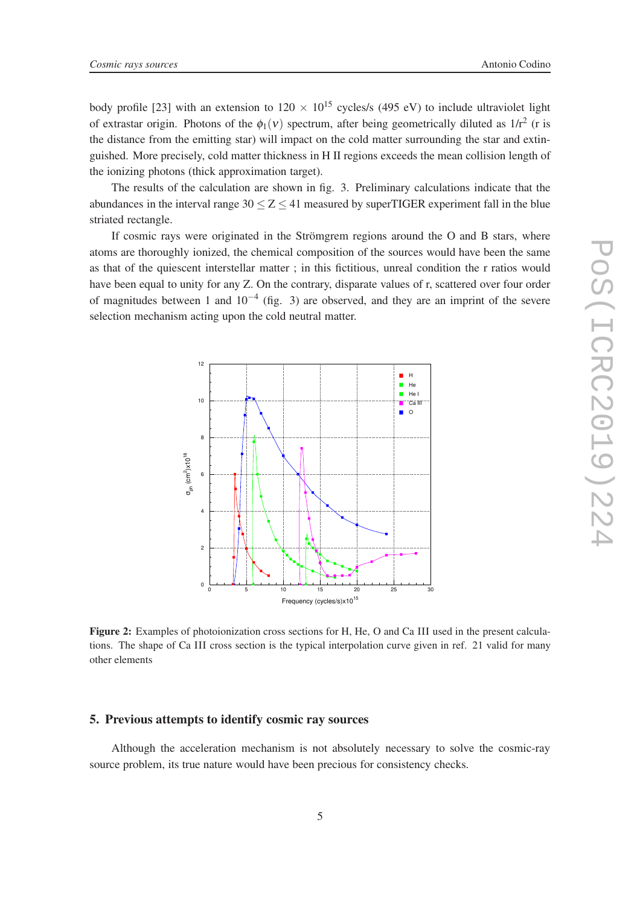body profile [23] with an extension to  $120 \times 10^{15}$  cycles/s (495 eV) to include ultraviolet light of extrastar origin. Photons of the  $\phi_1(v)$  spectrum, after being geometrically diluted as  $1/r^2$  (r is the distance from the emitting star) will impact on the cold matter surrounding the star and extinguished. More precisely, cold matter thickness in H II regions exceeds the mean collision length of the ionizing photons (thick approximation target).

The results of the calculation are shown in fig. 3. Preliminary calculations indicate that the abundances in the interval range  $30 \le Z \le 41$  measured by superTIGER experiment fall in the blue striated rectangle.

If cosmic rays were originated in the Strömgrem regions around the O and B stars, where atoms are thoroughly ionized, the chemical composition of the sources would have been the same as that of the quiescent interstellar matter ; in this fictitious, unreal condition the r ratios would have been equal to unity for any Z. On the contrary, disparate values of r, scattered over four order of magnitudes between 1 and  $10^{-4}$  (fig. 3) are observed, and they are an imprint of the severe selection mechanism acting upon the cold neutral matter.



Figure 2: Examples of photoionization cross sections for H, He, O and Ca III used in the present calculations. The shape of Ca III cross section is the typical interpolation curve given in ref. 21 valid for many other elements

#### 5. Previous attempts to identify cosmic ray sources

Although the acceleration mechanism is not absolutely necessary to solve the cosmic-ray source problem, its true nature would have been precious for consistency checks.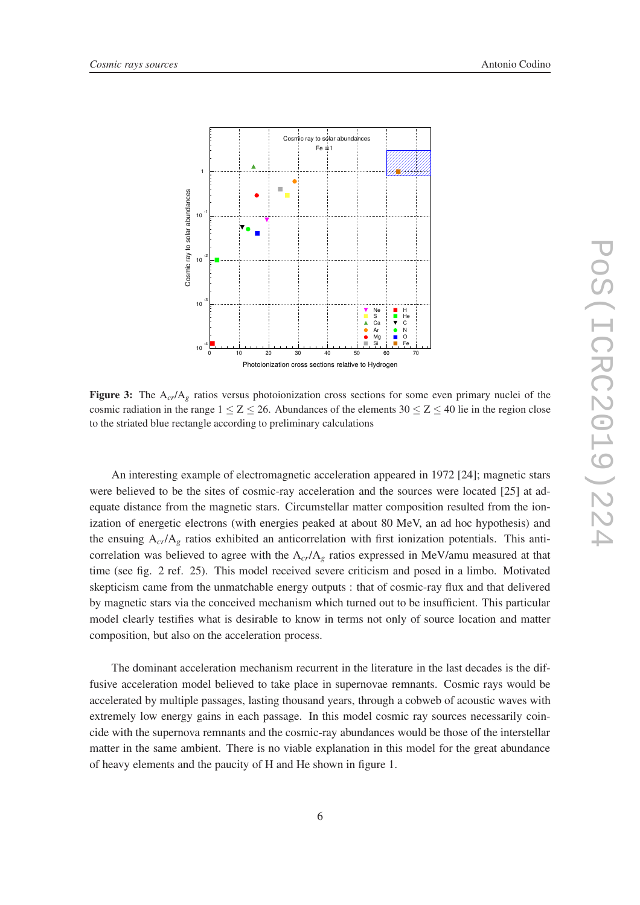

Figure 3: The A<sub>cr</sub>/A<sub>g</sub> ratios versus photoionization cross sections for some even primary nuclei of the cosmic radiation in the range  $1 < Z < 26$ . Abundances of the elements  $30 < Z < 40$  lie in the region close to the striated blue rectangle according to preliminary calculations

An interesting example of electromagnetic acceleration appeared in 1972 [24]; magnetic stars were believed to be the sites of cosmic-ray acceleration and the sources were located [25] at adequate distance from the magnetic stars. Circumstellar matter composition resulted from the ionization of energetic electrons (with energies peaked at about 80 MeV, an ad hoc hypothesis) and the ensuing  $A_{cr}/A_g$  ratios exhibited an anticorrelation with first ionization potentials. This anticorrelation was believed to agree with the A*cr*/A*<sup>g</sup>* ratios expressed in MeV/amu measured at that time (see fig. 2 ref. 25). This model received severe criticism and posed in a limbo. Motivated skepticism came from the unmatchable energy outputs : that of cosmic-ray flux and that delivered by magnetic stars via the conceived mechanism which turned out to be insufficient. This particular model clearly testifies what is desirable to know in terms not only of source location and matter composition, but also on the acceleration process.

The dominant acceleration mechanism recurrent in the literature in the last decades is the diffusive acceleration model believed to take place in supernovae remnants. Cosmic rays would be accelerated by multiple passages, lasting thousand years, through a cobweb of acoustic waves with extremely low energy gains in each passage. In this model cosmic ray sources necessarily coincide with the supernova remnants and the cosmic-ray abundances would be those of the interstellar matter in the same ambient. There is no viable explanation in this model for the great abundance of heavy elements and the paucity of H and He shown in figure 1.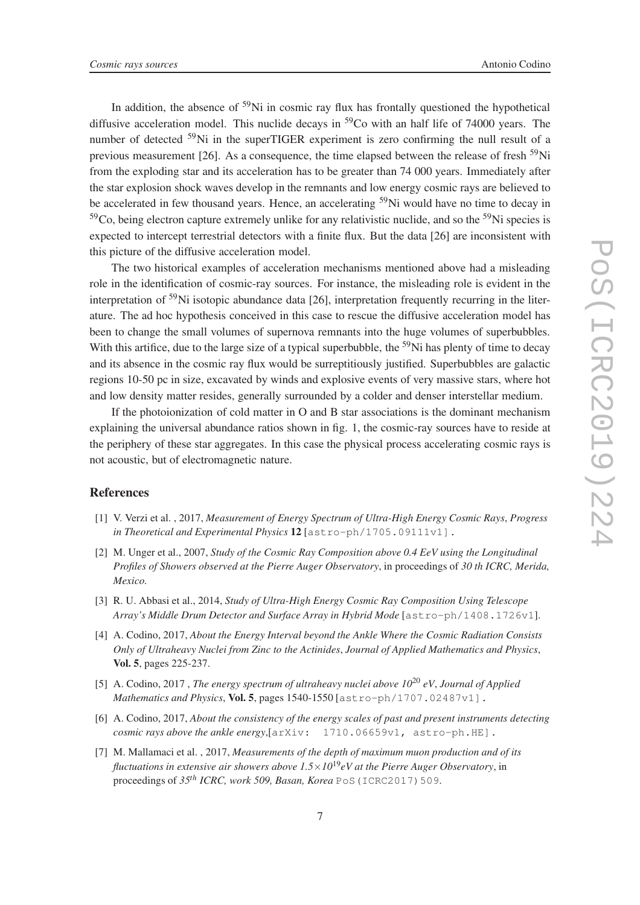In addition, the absence of  $59$ Ni in cosmic ray flux has frontally questioned the hypothetical diffusive acceleration model. This nuclide decays in  $59<sup>9</sup>$ Co with an half life of 74000 years. The number of detected  $59\text{Ni}$  in the superTIGER experiment is zero confirming the null result of a previous measurement [26]. As a consequence, the time elapsed between the release of fresh  $^{59}$ Ni from the exploding star and its acceleration has to be greater than 74 000 years. Immediately after the star explosion shock waves develop in the remnants and low energy cosmic rays are believed to be accelerated in few thousand years. Hence, an accelerating <sup>59</sup>Ni would have no time to decay in  $59^{\circ}$ Co, being electron capture extremely unlike for any relativistic nuclide, and so the  $59^{\circ}$ Ni species is expected to intercept terrestrial detectors with a finite flux. But the data [26] are inconsistent with this picture of the diffusive acceleration model.

The two historical examples of acceleration mechanisms mentioned above had a misleading role in the identification of cosmic-ray sources. For instance, the misleading role is evident in the interpretation of <sup>59</sup>Ni isotopic abundance data [26], interpretation frequently recurring in the literature. The ad hoc hypothesis conceived in this case to rescue the diffusive acceleration model has been to change the small volumes of supernova remnants into the huge volumes of superbubbles. With this artifice, due to the large size of a typical superbubble, the  $59$ Ni has plenty of time to decay and its absence in the cosmic ray flux would be surreptitiously justified. Superbubbles are galactic regions 10-50 pc in size, excavated by winds and explosive events of very massive stars, where hot and low density matter resides, generally surrounded by a colder and denser interstellar medium.

If the photoionization of cold matter in O and B star associations is the dominant mechanism explaining the universal abundance ratios shown in fig. 1, the cosmic-ray sources have to reside at the periphery of these star aggregates. In this case the physical process accelerating cosmic rays is not acoustic, but of electromagnetic nature.

# References

- [1] V. Verzi et al. , 2017, *Measurement of Energy Spectrum of Ultra-High Energy Cosmic Rays*, *Progress in Theoretical and Experimental Physics* 12 [astro-ph/1705.09111v1].
- [2] M. Unger et al., 2007, *Study of the Cosmic Ray Composition above 0.4 EeV using the Longitudinal Profiles of Showers observed at the Pierre Auger Observatory*, in proceedings of *30 th ICRC, Merida, Mexico.*
- [3] R. U. Abbasi et al., 2014, *Study of Ultra-High Energy Cosmic Ray Composition Using Telescope Array's Middle Drum Detector and Surface Array in Hybrid Mode* [astro-ph/1408.1726v1].
- [4] A. Codino, 2017, *About the Energy Interval beyond the Ankle Where the Cosmic Radiation Consists Only of Ultraheavy Nuclei from Zinc to the Actinides*, *Journal of Applied Mathematics and Physics*, Vol. 5, pages 225-237.
- [5] A. Codino, 2017 , *The energy spectrum of ultraheavy nuclei above 10*<sup>20</sup> *eV*, *Journal of Applied Mathematics and Physics*, Vol. 5, pages 1540-1550 [astro-ph/1707.02487v1].
- [6] A. Codino, 2017, *About the consistency of the energy scales of past and present instruments detecting cosmic rays above the ankle energy*,[arXiv: 1710.06659v1, astro-ph.HE].
- [7] M. Mallamaci et al. , 2017, *Measurements of the depth of maximum muon production and of its fluctuations in extensive air showers above 1.5*×*10*19*eV at the Pierre Auger Observatory*, in proceedings of 35<sup>th</sup> *ICRC, work 509, Basan, Korea* PoS (ICRC2017) 509.